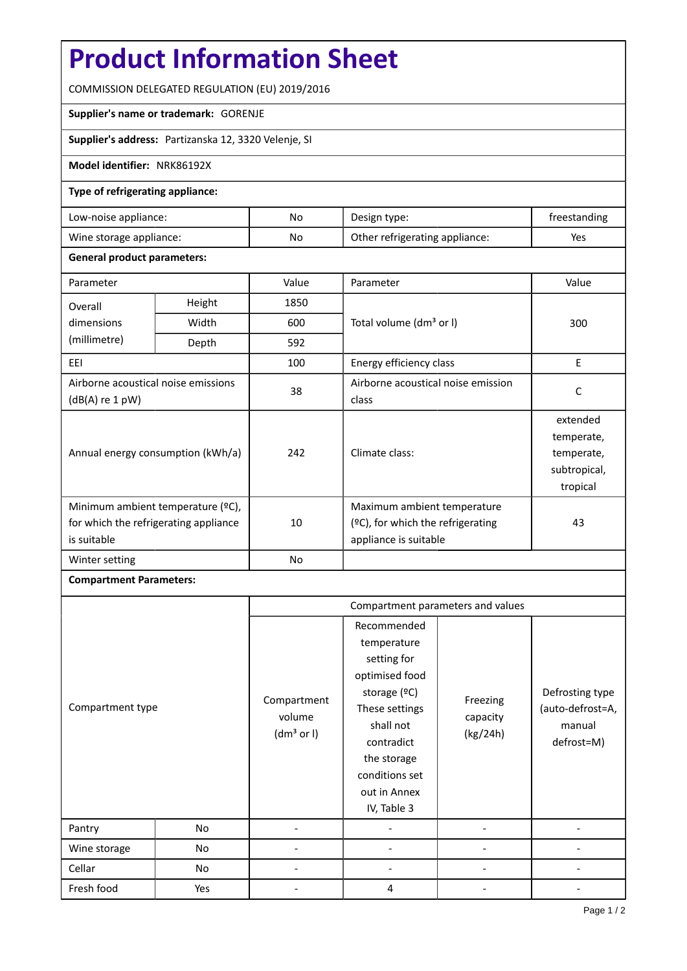# **Product Information Sheet**

COMMISSION DELEGATED REGULATION (EU) 2019/2016

### **Supplier's name or trademark:** GORENJE

**Supplier's address:** Partizanska 12, 3320 Velenje, SI

### **Model identifier:** NRK86192X

## **Type of refrigerating appliance:**

| Low-noise appliance:    | No | Design type:                   | freestanding |
|-------------------------|----|--------------------------------|--------------|
| Wine storage appliance: | No | Other refrigerating appliance: | Yes          |

### **General product parameters:**

| Parameter                                                                                 |        | Value | Parameter                                                                                    | Value                                                            |
|-------------------------------------------------------------------------------------------|--------|-------|----------------------------------------------------------------------------------------------|------------------------------------------------------------------|
| Overall                                                                                   | Height | 1850  |                                                                                              | 300                                                              |
| dimensions                                                                                | Width  | 600   | Total volume (dm <sup>3</sup> or I)                                                          |                                                                  |
| (millimetre)                                                                              | Depth  | 592   |                                                                                              |                                                                  |
| EEI                                                                                       |        | 100   | Energy efficiency class                                                                      | E                                                                |
| Airborne acoustical noise emissions<br>$(dB(A)$ re 1 pW)                                  |        | 38    | Airborne acoustical noise emission<br>class                                                  | C                                                                |
| Annual energy consumption (kWh/a)                                                         |        | 242   | Climate class:                                                                               | extended<br>temperate,<br>temperate,<br>subtropical,<br>tropical |
| Minimum ambient temperature (°C),<br>for which the refrigerating appliance<br>is suitable |        | 10    | Maximum ambient temperature<br>$(2C)$ , for which the refrigerating<br>appliance is suitable | 43                                                               |
| Winter setting                                                                            |        | No    |                                                                                              |                                                                  |

## **Compartment Parameters:**

|                  |     | Compartment parameters and values               |                                                                                                                                                                                          |                                  |                                                             |
|------------------|-----|-------------------------------------------------|------------------------------------------------------------------------------------------------------------------------------------------------------------------------------------------|----------------------------------|-------------------------------------------------------------|
| Compartment type |     | Compartment<br>volume<br>(dm <sup>3</sup> or I) | Recommended<br>temperature<br>setting for<br>optimised food<br>storage (ºC)<br>These settings<br>shall not<br>contradict<br>the storage<br>conditions set<br>out in Annex<br>IV, Table 3 | Freezing<br>capacity<br>(kg/24h) | Defrosting type<br>(auto-defrost=A,<br>manual<br>defrost=M) |
| Pantry           | No  |                                                 |                                                                                                                                                                                          |                                  |                                                             |
| Wine storage     | No  |                                                 |                                                                                                                                                                                          |                                  |                                                             |
| Cellar           | No  |                                                 |                                                                                                                                                                                          |                                  |                                                             |
| Fresh food       | Yes |                                                 | 4                                                                                                                                                                                        |                                  |                                                             |